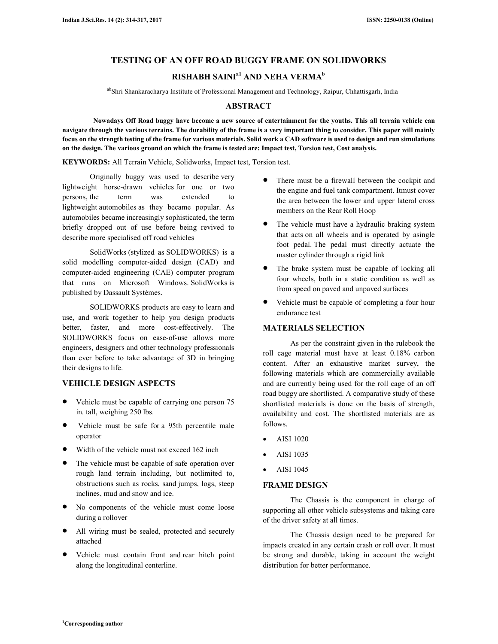# **TESTING OF AN OFF ROAD BUGGY FRAME ON SOLIDWORKS**

# **RISHABH SAINIa1 AND NEHA VERMA<sup>b</sup>**

abShri Shankaracharya Institute of Professional Management and Technology, Raipur, Chhattisgarh, India

#### **ABSTRACT**

 **Nowadays Off Road buggy have become a new source of entertainment for the youths. This all terrain vehicle can navigate through the various terrains. The durability of the frame is a very important thing to consider. This paper will mainly focus on the strength testing of the frame for various materials. Solid work a CAD software is used to design and run simulations on the design. The various ground on which the frame is tested are: Impact test, Torsion test, Cost analysis.** 

**KEYWORDS:** All Terrain Vehicle, Solidworks, Impact test, Torsion test.

Originally buggy was used to describe very lightweight horse-drawn vehicles for one or two persons, the term was extended to lightweight automobiles as they became popular. As automobiles became increasingly sophisticated, the term briefly dropped out of use before being revived to describe more specialised off road vehicles

SolidWorks (stylized as SOLIDWORKS) is a solid modelling computer-aided design (CAD) and computer-aided engineering (CAE) computer program that runs on Microsoft Windows. SolidWorks is published by Dassault Systèmes.

SOLIDWORKS products are easy to learn and use, and work together to help you design products better, faster, and more cost-effectively. The SOLIDWORKS focus on ease-of-use allows more engineers, designers and other technology professionals than ever before to take advantage of 3D in bringing their designs to life.

#### **VEHICLE DESIGN ASPECTS**

- Vehicle must be capable of carrying one person 75 in. tall, weighing 250 lbs.
- Vehicle must be safe for a 95th percentile male operator
- Width of the vehicle must not exceed 162 inch
- The vehicle must be capable of safe operation over rough land terrain including, but notlimited to, obstructions such as rocks, sand jumps, logs, steep inclines, mud and snow and ice.
- No components of the vehicle must come loose during a rollover
- All wiring must be sealed, protected and securely attached
- Vehicle must contain front and rear hitch point along the longitudinal centerline.
- There must be a firewall between the cockpit and the engine and fuel tank compartment. Itmust cover the area between the lower and upper lateral cross members on the Rear Roll Hoop
- The vehicle must have a hydraulic braking system that acts on all wheels and is operated by asingle foot pedal. The pedal must directly actuate the master cylinder through a rigid link
- The brake system must be capable of locking all four wheels, both in a static condition as well as from speed on paved and unpaved surfaces
- Vehicle must be capable of completing a four hour endurance test

#### **MATERIALS SELECTION**

As per the constraint given in the rulebook the roll cage material must have at least 0.18% carbon content. After an exhaustive market survey, the following materials which are commercially available and are currently being used for the roll cage of an off road buggy are shortlisted. A comparative study of these shortlisted materials is done on the basis of strength, availability and cost. The shortlisted materials are as follows.

- AISI 1020
- AISI 1035
- AISI 1045

#### **FRAME DESIGN**

The Chassis is the component in charge of supporting all other vehicle subsystems and taking care of the driver safety at all times.

The Chassis design need to be prepared for impacts created in any certain crash or roll over. It must be strong and durable, taking in account the weight distribution for better performance.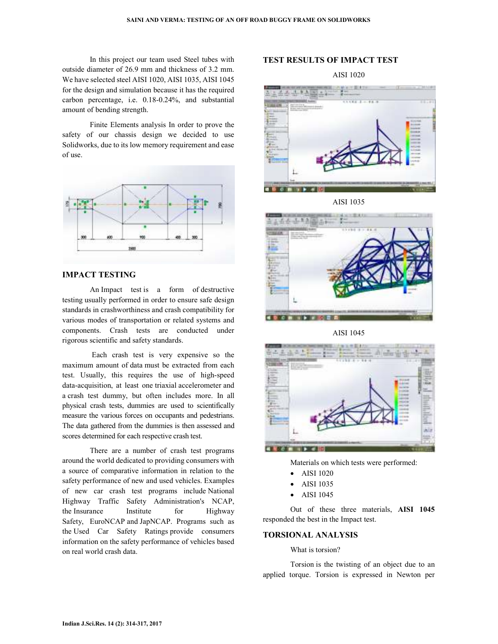In this project our team used Steel tubes with outside diameter of 26.9 mm and thickness of 3.2 mm. We have selected steel AISI 1020, AISI 1035, AISI 1045 for the design and simulation because it has the required carbon percentage, i.e. 0.18-0.24%, and substantial amount of bending strength.

Finite Elements analysis In order to prove the safety of our chassis design we decided to use Solidworks, due to its low memory requirement and ease of use.



## **IMPACT TESTING**

An Impact test is a form of destructive testing usually performed in order to ensure safe design standards in crashworthiness and crash compatibility for various modes of transportation or related systems and components. Crash tests are conducted under rigorous scientific and safety standards.

 Each crash test is very expensive so the maximum amount of data must be extracted from each test. Usually, this requires the use of high-speed data-acquisition, at least one triaxial accelerometer and a crash test dummy, but often includes more. In all physical crash tests, dummies are used to scientifically measure the various forces on occupants and pedestrians. The data gathered from the dummies is then assessed and scores determined for each respective crash test.

There are a number of crash test programs around the world dedicated to providing consumers with a source of comparative information in relation to the safety performance of new and used vehicles. Examples of new car crash test programs include National Highway Traffic Safety Administration's NCAP, the Insurance Institute for Highway Safety, EuroNCAP and JapNCAP. Programs such as the Used Car Safety Ratings provide consumers information on the safety performance of vehicles based on real world crash data.

## **TEST RESULTS OF IMPACT TEST**

AISI 1020



AISI 1035



AISI 1045



Materials on which tests were performed:

- AISI 1020
- AISI 1035
- AISI 1045

Out of these three materials, **AISI 1045** responded the best in the Impact test.

#### **TORSIONAL ANALYSIS**

What is torsion?

Torsion is the twisting of an object due to an applied torque. Torsion is expressed in Newton per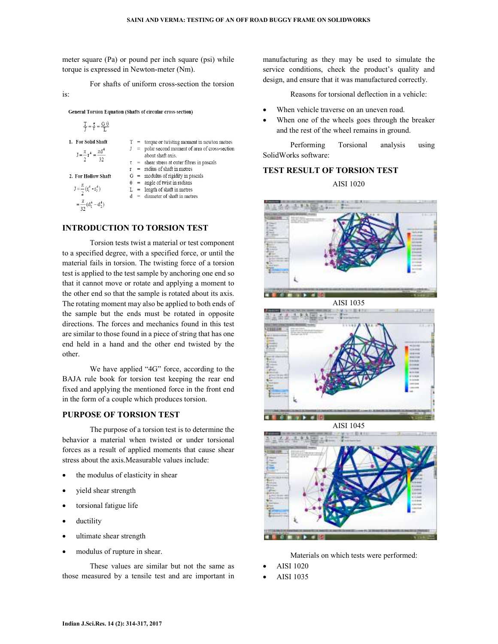meter square (Pa) or pound per inch square (psi) while torque is expressed in Newton-meter (Nm).

For shafts of uniform cross-section the torsion

**General Torsion Equation (Shafts of circular cross-section)** 

$$
\frac{T}{J} = \frac{\tau}{T} = \frac{G \theta}{L}
$$
  
1. For Solid Shaff  

$$
J = \frac{\pi}{T}r^4 = \frac{\pi d^4}{L}
$$

2. For Hollow Shaft

 $=\frac{\pi}{2} (d_1^4 - d_2^4)$ 

is:

torque or twisting moment in newton metres polar second moment of area of cross-section about shaft axis. shear stress at outer fibres in pascals  $r =$  radius of shaft in metres  $G =$  modulus of rigidity in pascals  $\theta$  = angle of twist in radians  $L =$  length of shaft in metres

 $J = \frac{\pi}{2} (r_1^4 - r_2^4)$ 

diameter of shaft in metres

# **INTRODUCTION TO TORSION TEST**

Torsion tests twist a material or test component to a specified degree, with a specified force, or until the material fails in torsion. The twisting force of a torsion test is applied to the test sample by anchoring one end so that it cannot move or rotate and applying a moment to the other end so that the sample is rotated about its axis. The rotating moment may also be applied to both ends of the sample but the ends must be rotated in opposite directions. The forces and mechanics found in this test are similar to those found in a piece of string that has one end held in a hand and the other end twisted by the other.

We have applied "4G" force, according to the BAJA rule book for torsion test keeping the rear end fixed and applying the mentioned force in the front end in the form of a couple which produces torsion.

#### **PURPOSE OF TORSION TEST**

The purpose of a torsion test is to determine the behavior a material when twisted or under torsional forces as a result of applied moments that cause shear stress about the axis.Measurable values include:

- the modulus of elasticity in shear
- yield shear strength
- torsional fatigue life
- ductility
- ultimate shear strength
- modulus of rupture in shear.

These values are similar but not the same as those measured by a tensile test and are important in manufacturing as they may be used to simulate the service conditions, check the product's quality and design, and ensure that it was manufactured correctly.

Reasons for torsional deflection in a vehicle:

- When vehicle traverse on an uneven road.
- When one of the wheels goes through the breaker and the rest of the wheel remains in ground.

Performing Torsional analysis using SolidWorks software:

# **TEST RESULT OF TORSION TEST**

AISI 1020



AISI 1035







Materials on which tests were performed:

- AISI 1020
- AISI 1035